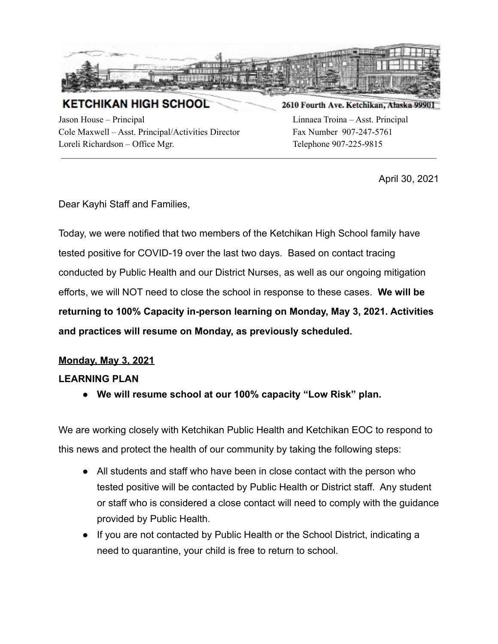

**KETCHIKAN HIGH SCHOOL** 

Jason House – Principal Linnaea Troina – Asst. Principal Cole Maxwell – Asst. Principal/Activities Director Fax Number 907-247-5761 Loreli Richardson – Office Mgr. (2008) Telephone 907-225-9815

## 2610 Fourth Ave. Ketchikan, Alaska 99901

April 30, 2021

Dear Kayhi Staff and Families,

Today, we were notified that two members of the Ketchikan High School family have tested positive for COVID-19 over the last two days. Based on contact tracing conducted by Public Health and our District Nurses, as well as our ongoing mitigation efforts, we will NOT need to close the school in response to these cases. **We will be returning to 100% Capacity in-person learning on Monday, May 3, 2021. Activities and practices will resume on Monday, as previously scheduled.**

## **Monday, May 3, 2021**

## **LEARNING PLAN**

**● We will resume school at our 100% capacity "Low Risk" plan.**

We are working closely with Ketchikan Public Health and Ketchikan EOC to respond to this news and protect the health of our community by taking the following steps:

- All students and staff who have been in close contact with the person who tested positive will be contacted by Public Health or District staff. Any student or staff who is considered a close contact will need to comply with the guidance provided by Public Health.
- If you are not contacted by Public Health or the School District, indicating a need to quarantine, your child is free to return to school.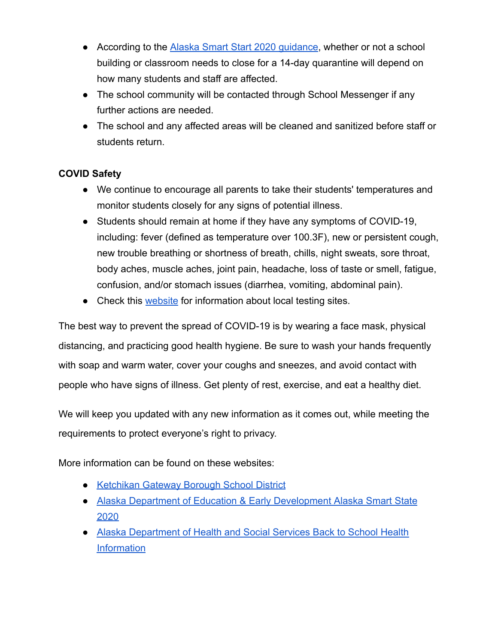- According to the [Alaska Smart Start 2020 guidance](http://track.spe.schoolmessenger.com/f/a/yTxsk3eIUhXd-_shqgEV2A~~/AAAAAQA~/RgRhqYTvP4QDAWh0dHA6Ly90cmFjay5zcGUuc2Nob29sbWVzc2VuZ2VyLmNvbS9mL2EvNERPYXVsQ1F6QzlOTW9CeFRyTWhkd35-L0FBQUFBUUF-L1JnUmhhT1I5UDBSSmFIUjBjSE02THk5bFpIVmpZWFJwYjI0dVlXeGhjMnRoTG1kdmRpOWpiM1pwWkMweE9TMXBibVp2Y20xaGRHbHZiaTloYkdGemEyRXRjMjFoY25RdGMzUmhjblF0TWpBeU1GY0hjMk5vYjI5c2JVSUtBRWY5c0lkZkR4V1c4RklhU21GemIyNHVTRzkxYzJWQWF6SXhjMk5vYjI5c2N5NXZjbWRZQkFBQUFBRX5XB3NjaG9vbG1CCgBGb1HIX-xxkKRSGkphc29uLkhvdXNlQGsyMXNjaG9vbHMub3JnWAQAAAAB), whether or not a school building or classroom needs to close for a 14-day quarantine will depend on how many students and staff are affected.
- The school community will be contacted through School Messenger if any further actions are needed.
- The school and any affected areas will be cleaned and sanitized before staff or students return.

## **COVID Safety**

- We continue to encourage all parents to take their students' temperatures and monitor students closely for any signs of potential illness.
- Students should remain at home if they have any symptoms of COVID-19, including: fever (defined as temperature over 100.3F), new or persistent cough, new trouble breathing or shortness of breath, chills, night sweats, sore throat, body aches, muscle aches, joint pain, headache, loss of taste or smell, fatigue, confusion, and/or stomach issues (diarrhea, vomiting, abdominal pain).
- Check this [website](http://track.spe.schoolmessenger.com/f/a/sEyAo09Fzxh2upGnOgosYw~~/AAAAAQA~/RgRhqYTvP4QbAWh0dHA6Ly90cmFjay5zcGUuc2Nob29sbWVzc2VuZ2VyLmNvbS9mL2EvWTgwazFWMDM1Y285RjRxajRna29CUX5-L0FBQUFBUUF-L1JnUmhhT1I5UDBSY2FIUjBjSE02THk5amIzSnZibUYyYVhKMWN5MXlaWE53YjI1elpTMWhiR0Z6YTJFdFpHaHpjeTVvZFdJdVlYSmpaMmx6TG1OdmJTOWhjSEF2TW1RNU1tSTNOMkpqT0RBME5ETXlPV0V4WldVek9UVTBZakEyTTJKa09HTlhCM05qYUc5dmJHMUNDZ0JIX2JDSFh3OFZsdkJTR2twaGMyOXVMa2h2ZFhObFFHc3lNWE5qYUc5dmJITXViM0puV0FRQUFBQUJXB3NjaG9vbG1CCgBGb1HIX-xxkKRSGkphc29uLkhvdXNlQGsyMXNjaG9vbHMub3JnWAQAAAAB) for information about local testing sites.

The best way to prevent the spread of COVID-19 is by wearing a face mask, physical distancing, and practicing good health hygiene. Be sure to wash your hands frequently with soap and warm water, cover your coughs and sneezes, and avoid contact with people who have signs of illness. Get plenty of rest, exercise, and eat a healthy diet.

We will keep you updated with any new information as it comes out, while meeting the requirements to protect everyone's right to privacy.

More information can be found on these websites:

- [Ketchikan Gateway Borough School District](http://track.spe.schoolmessenger.com/f/a/60s5XWUEuF30YZ7f4U0hBA~~/AAAAAQA~/RgRhqYTvP0TLaHR0cDovL3RyYWNrLnNwZS5zY2hvb2xtZXNzZW5nZXIuY29tL2YvYS85TWJHYzJUWi1VajFIeEdGOGI2MHhBfn4vQUFBQUFRQX4vUmdSaGFPUjlQMFFmYUhSMGNITTZMeTkzZDNjdWEyZGljMlF1YjNKbkwwUnZiV0ZwYmk4NE1GY0hjMk5vYjI5c2JVSUtBRWY5c0lkZkR4V1c4RklhU21GemIyNHVTRzkxYzJWQWF6SXhjMk5vYjI5c2N5NXZjbWRZQkFBQUFBRX5XB3NjaG9vbG1CCgBGb1HIX-xxkKRSGkphc29uLkhvdXNlQGsyMXNjaG9vbHMub3JnWAQAAAAB)
- [Alaska Department of Education & Early Development](http://track.spe.schoolmessenger.com/f/a/yTxsk3eIUhXd-_shqgEV2A~~/AAAAAQA~/RgRhqYTvP4QDAWh0dHA6Ly90cmFjay5zcGUuc2Nob29sbWVzc2VuZ2VyLmNvbS9mL2EvNERPYXVsQ1F6QzlOTW9CeFRyTWhkd35-L0FBQUFBUUF-L1JnUmhhT1I5UDBSSmFIUjBjSE02THk5bFpIVmpZWFJwYjI0dVlXeGhjMnRoTG1kdmRpOWpiM1pwWkMweE9TMXBibVp2Y20xaGRHbHZiaTloYkdGemEyRXRjMjFoY25RdGMzUmhjblF0TWpBeU1GY0hjMk5vYjI5c2JVSUtBRWY5c0lkZkR4V1c4RklhU21GemIyNHVTRzkxYzJWQWF6SXhjMk5vYjI5c2N5NXZjbWRZQkFBQUFBRX5XB3NjaG9vbG1CCgBGb1HIX-xxkKRSGkphc29uLkhvdXNlQGsyMXNjaG9vbHMub3JnWAQAAAAB) Alaska Smart State [2020](http://track.spe.schoolmessenger.com/f/a/yTxsk3eIUhXd-_shqgEV2A~~/AAAAAQA~/RgRhqYTvP4QDAWh0dHA6Ly90cmFjay5zcGUuc2Nob29sbWVzc2VuZ2VyLmNvbS9mL2EvNERPYXVsQ1F6QzlOTW9CeFRyTWhkd35-L0FBQUFBUUF-L1JnUmhhT1I5UDBSSmFIUjBjSE02THk5bFpIVmpZWFJwYjI0dVlXeGhjMnRoTG1kdmRpOWpiM1pwWkMweE9TMXBibVp2Y20xaGRHbHZiaTloYkdGemEyRXRjMjFoY25RdGMzUmhjblF0TWpBeU1GY0hjMk5vYjI5c2JVSUtBRWY5c0lkZkR4V1c4RklhU21GemIyNHVTRzkxYzJWQWF6SXhjMk5vYjI5c2N5NXZjbWRZQkFBQUFBRX5XB3NjaG9vbG1CCgBGb1HIX-xxkKRSGkphc29uLkhvdXNlQGsyMXNjaG9vbHMub3JnWAQAAAAB)
- [Alaska Department of Health and Social Services Back](http://track.spe.schoolmessenger.com/f/a/Ef-upPqHcNwe-jd7UEd4bg~~/AAAAAQA~/RgRhqYTvP0T3aHR0cDovL3RyYWNrLnNwZS5zY2hvb2xtZXNzZW5nZXIuY29tL2YvYS9PVFI2VUhoOXJtaHRVVHBmSmZkUlBRfn4vQUFBQUFRQX4vUmdSaGFPUjlQMFJBYUhSMGNEb3ZMMlJvYzNNdVlXeGhjMnRoTG1kdmRpOWtjR2d2UlhCcEwybGtMMUJoWjJWekwwTlBWa2xFTFRFNUwzTmphRzl2YkhsbFlYSXVZWE53ZUZjSGMyTm9iMjlzYlVJS0FFZjlzSWRmRHhXVzhGSWFTbUZ6YjI0dVNHOTFjMlZBYXpJeGMyTm9iMjlzY3k1dmNtZFlCQUFBQUFFflcHc2Nob29sbUIKAEZvUchf7HGQpFIaSmFzb24uSG91c2VAazIxc2Nob29scy5vcmdYBAAAAAE~) to School Health **[Information](http://track.spe.schoolmessenger.com/f/a/Ef-upPqHcNwe-jd7UEd4bg~~/AAAAAQA~/RgRhqYTvP0T3aHR0cDovL3RyYWNrLnNwZS5zY2hvb2xtZXNzZW5nZXIuY29tL2YvYS9PVFI2VUhoOXJtaHRVVHBmSmZkUlBRfn4vQUFBQUFRQX4vUmdSaGFPUjlQMFJBYUhSMGNEb3ZMMlJvYzNNdVlXeGhjMnRoTG1kdmRpOWtjR2d2UlhCcEwybGtMMUJoWjJWekwwTlBWa2xFTFRFNUwzTmphRzl2YkhsbFlYSXVZWE53ZUZjSGMyTm9iMjlzYlVJS0FFZjlzSWRmRHhXVzhGSWFTbUZ6YjI0dVNHOTFjMlZBYXpJeGMyTm9iMjlzY3k1dmNtZFlCQUFBQUFFflcHc2Nob29sbUIKAEZvUchf7HGQpFIaSmFzb24uSG91c2VAazIxc2Nob29scy5vcmdYBAAAAAE~)**